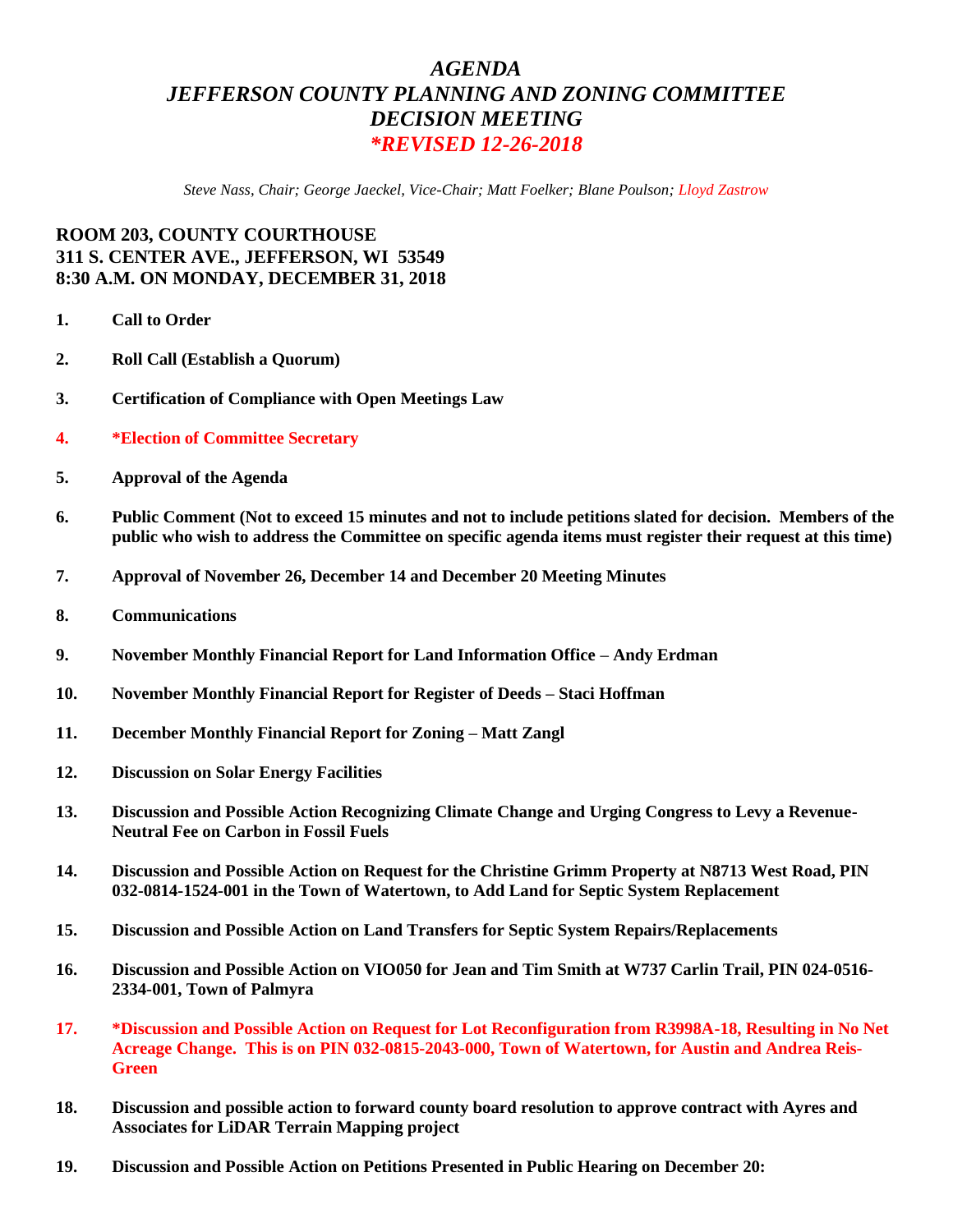## *AGENDA JEFFERSON COUNTY PLANNING AND ZONING COMMITTEE DECISION MEETING \*REVISED 12-26-2018*

*Steve Nass, Chair; George Jaeckel, Vice-Chair; Matt Foelker; Blane Poulson; Lloyd Zastrow*

## **ROOM 203, COUNTY COURTHOUSE 311 S. CENTER AVE., JEFFERSON, WI 53549 8:30 A.M. ON MONDAY, DECEMBER 31, 2018**

- **1. Call to Order**
- **2. Roll Call (Establish a Quorum)**
- **3. Certification of Compliance with Open Meetings Law**
- **4. \*Election of Committee Secretary**
- **5. Approval of the Agenda**
- **6. Public Comment (Not to exceed 15 minutes and not to include petitions slated for decision. Members of the public who wish to address the Committee on specific agenda items must register their request at this time)**
- **7. Approval of November 26, December 14 and December 20 Meeting Minutes**
- **8. Communications**
- **9. November Monthly Financial Report for Land Information Office – Andy Erdman**
- **10. November Monthly Financial Report for Register of Deeds – Staci Hoffman**
- **11. December Monthly Financial Report for Zoning – Matt Zangl**
- **12. Discussion on Solar Energy Facilities**
- **13. Discussion and Possible Action Recognizing Climate Change and Urging Congress to Levy a Revenue-Neutral Fee on Carbon in Fossil Fuels**
- **14. Discussion and Possible Action on Request for the Christine Grimm Property at N8713 West Road, PIN 032-0814-1524-001 in the Town of Watertown, to Add Land for Septic System Replacement**
- **15. Discussion and Possible Action on Land Transfers for Septic System Repairs/Replacements**
- **16. Discussion and Possible Action on VIO050 for Jean and Tim Smith at W737 Carlin Trail, PIN 024-0516- 2334-001, Town of Palmyra**
- **17. \*Discussion and Possible Action on Request for Lot Reconfiguration from R3998A-18, Resulting in No Net Acreage Change. This is on PIN 032-0815-2043-000, Town of Watertown, for Austin and Andrea Reis-Green**
- **18. Discussion and possible action to forward county board resolution to approve contract with Ayres and Associates for LiDAR Terrain Mapping project**
- **19. Discussion and Possible Action on Petitions Presented in Public Hearing on December 20:**